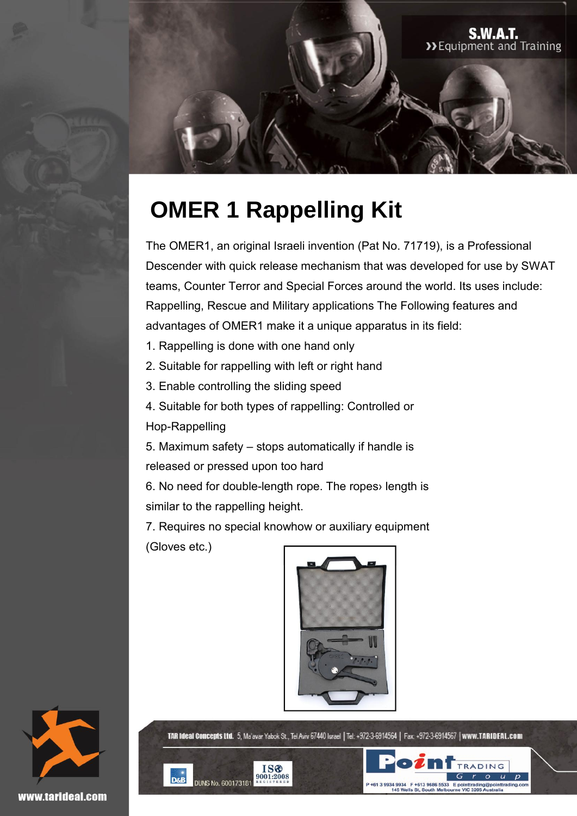

## **OMER 1 Rappelling Kit**

The OMER1, an original Israeli invention (Pat No. 71719), is a Professional Descender with quick release mechanism that was developed for use by SWAT teams, Counter Terror and Special Forces around the world. Its uses include: Rappelling, Rescue and Military applications The Following features and advantages of OMER1 make it a unique apparatus in its field:

- 1. Rappelling is done with one hand only
- 2. Suitable for rappelling with left or right hand
- 3. Enable controlling the sliding speed

4. Suitable for both types of rappelling: Controlled or Hop-Rappelling

5. Maximum safety – stops automatically if handle is released or pressed upon too hard

6. No need for double-length rope. The ropes› length is similar to the rappelling height.

7. Requires no special knowhow or auxiliary equipment (Gloves etc.)



P +61 3 9934 9934

145 Wells St. So



**DUNS No. 600173181** 



www.tarideal.com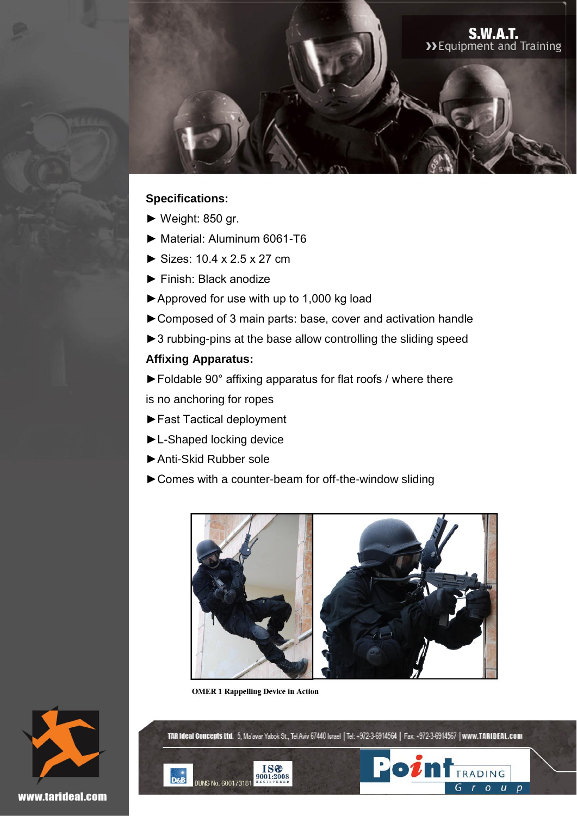

## **Specifications:**

- ► Weight: 850 gr.
- ► Material: Aluminum 6061-T6
- ► Sizes: 10.4 x 2.5 x 27 cm
- ► Finish: Black anodize
- ►Approved for use with up to 1,000 kg load
- ►Composed of 3 main parts: base, cover and activation handle
- ▶3 rubbing-pins at the base allow controlling the sliding speed

## **Affixing Apparatus:**

►Foldable 90° affixing apparatus for flat roofs / where there is no anchoring for ropes

- ►Fast Tactical deployment
- ►L-Shaped locking device
- ►Anti-Skid Rubber sole
- ►Comes with a counter-beam for off-the-window sliding



**OMER 1 Rappelling Device in Action** 



www.tarideal.com

TAR Ideal Concepts Ltd. 5, Ma'avar Yabok St., Tel Aviv 67440 Israel | Tel: +972-3-6914564 | Fax: +972-3-6914567 | www.TARIDEAL.com